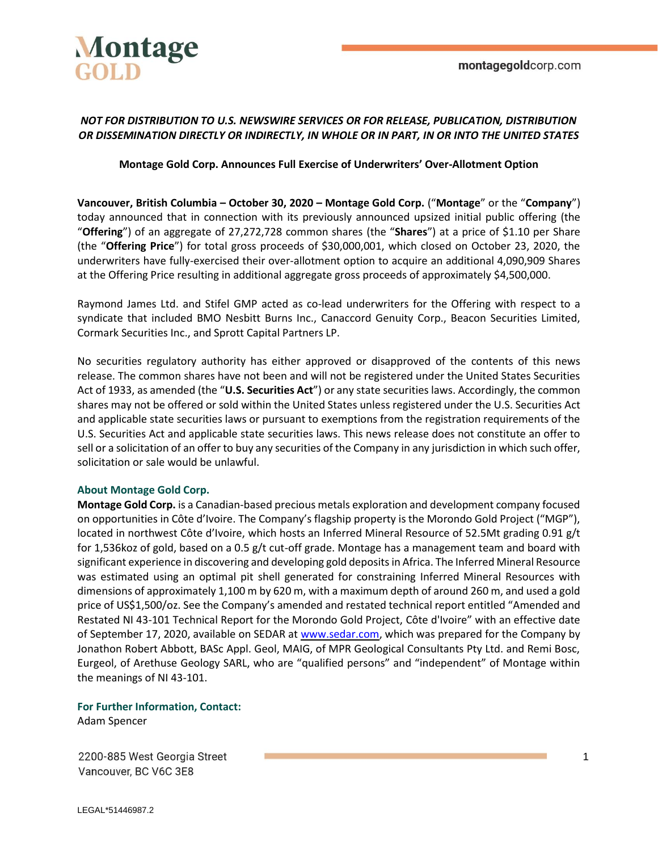

## *NOT FOR DISTRIBUTION TO U.S. NEWSWIRE SERVICES OR FOR RELEASE, PUBLICATION, DISTRIBUTION OR DISSEMINATION DIRECTLY OR INDIRECTLY, IN WHOLE OR IN PART, IN OR INTO THE UNITED STATES*

### **Montage Gold Corp. Announces Full Exercise of Underwriters' Over-Allotment Option**

**Vancouver, British Columbia – October 30, 2020 – Montage Gold Corp.** ("**Montage**" or the "**Company**") today announced that in connection with its previously announced upsized initial public offering (the "**Offering**") of an aggregate of 27,272,728 common shares (the "**Shares**") at a price of \$1.10 per Share (the "**Offering Price**") for total gross proceeds of \$30,000,001, which closed on October 23, 2020, the underwriters have fully-exercised their over-allotment option to acquire an additional 4,090,909 Shares at the Offering Price resulting in additional aggregate gross proceeds of approximately \$4,500,000.

Raymond James Ltd. and Stifel GMP acted as co-lead underwriters for the Offering with respect to a syndicate that included BMO Nesbitt Burns Inc., Canaccord Genuity Corp., Beacon Securities Limited, Cormark Securities Inc., and Sprott Capital Partners LP.

No securities regulatory authority has either approved or disapproved of the contents of this news release. The common shares have not been and will not be registered under the United States Securities Act of 1933, as amended (the "**U.S. Securities Act**") or any state securities laws. Accordingly, the common shares may not be offered or sold within the United States unless registered under the U.S. Securities Act and applicable state securities laws or pursuant to exemptions from the registration requirements of the U.S. Securities Act and applicable state securities laws. This news release does not constitute an offer to sell or a solicitation of an offer to buy any securities of the Company in any jurisdiction in which such offer, solicitation or sale would be unlawful.

#### **About Montage Gold Corp.**

**Montage Gold Corp.** is a Canadian-based precious metals exploration and development company focused on opportunities in Côte d'Ivoire. The Company's flagship property is the Morondo Gold Project ("MGP"), located in northwest Côte d'Ivoire, which hosts an Inferred Mineral Resource of 52.5Mt grading 0.91 g/t for 1,536koz of gold, based on a 0.5 g/t cut-off grade. Montage has a management team and board with significant experience in discovering and developing gold deposits in Africa. The Inferred Mineral Resource was estimated using an optimal pit shell generated for constraining Inferred Mineral Resources with dimensions of approximately 1,100 m by 620 m, with a maximum depth of around 260 m, and used a gold price of US\$1,500/oz. See the Company's amended and restated technical report entitled "Amended and Restated NI 43-101 Technical Report for the Morondo Gold Project, Côte d'Ivoire" with an effective date of September 17, 2020, available on SEDAR at [www.sedar.com,](http://www.sedar.com/) which was prepared for the Company by Jonathon Robert Abbott, BASc Appl. Geol, MAIG, of MPR Geological Consultants Pty Ltd. and Remi Bosc, Eurgeol, of Arethuse Geology SARL, who are "qualified persons" and "independent" of Montage within the meanings of NI 43-101.

**For Further Information, Contact:** Adam Spencer

2200-885 West Georgia Street Vancouver, BC V6C 3E8